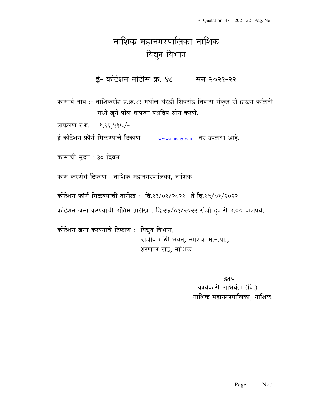## नाशिक महानगरपालिका नाशिक विद्युत विभाग

ई- कोटेशन नोटीस क्र. ४८ सन २०२१-२२

कामाचे नाव :- नाशिकरोड प्र.क्र.१९ मधील चेहडी शिवरोड निवारा संकुल रो हाऊस कॉलनी मध्ये जुने पोल वापरुन पथदिप सोय करणे.

प्राकलण र.रु.  $-$  १,९९,५१७/-

ई-कोटेशन फ़ॉर्म मिळण्याचे ठिकाण – www.nmc.gov.in वर उपलब्ध आहे.

कामाची मुदत : ३० दिवस

काम करणेचे ठिकाण : नाशिक महानगरपालिका, नाशिक

कोटेशन फॉर्म मिळण्याची तारीख: दि.१९/०१/२०२२ ते दि.२५/०१/२०२२

कोटेशन जमा करण्याची अंतिम तारीख : दि.२७/०१/२०२२ रोजी दुपारी ३.०० वाजेपर्यत

कोटेशन जमा करण्याचे ठिकाण : विद्युत विभाग, राजीव गांधी भवन, नाशिक म.न.पा., शरणपुर रोड, नाशिक

> Sd/- कार्यकारी अभियंता (वि.) नाशिक महानगरपालिका, नाशिक.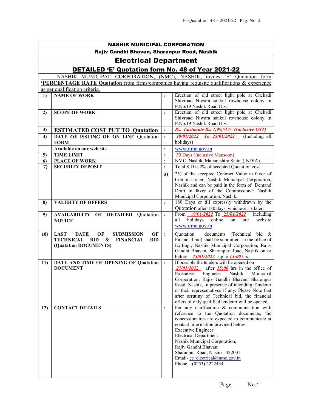| <b>NASHIK MUNICIPAL CORPORATION</b>                                                                                                                                           |                                                                                                                                                                        |                |                                                                                                                                                                                                                                                                                                                                                                                                         |  |
|-------------------------------------------------------------------------------------------------------------------------------------------------------------------------------|------------------------------------------------------------------------------------------------------------------------------------------------------------------------|----------------|---------------------------------------------------------------------------------------------------------------------------------------------------------------------------------------------------------------------------------------------------------------------------------------------------------------------------------------------------------------------------------------------------------|--|
| Rajiv Gandhi Bhavan, Sharanpur Road, Nashik                                                                                                                                   |                                                                                                                                                                        |                |                                                                                                                                                                                                                                                                                                                                                                                                         |  |
| <b>Electrical Department</b>                                                                                                                                                  |                                                                                                                                                                        |                |                                                                                                                                                                                                                                                                                                                                                                                                         |  |
| <b>DETAILED 'E' Quotation form No. 48 of Year 2021-22</b>                                                                                                                     |                                                                                                                                                                        |                |                                                                                                                                                                                                                                                                                                                                                                                                         |  |
| NASHIK MUNICIPAL CORPORATION, (NMC), NASHIK, invites 'E' Quotation form<br><b>PERCENTAGE RATE Quotation</b> from firms/companies having requisite qualifications & experience |                                                                                                                                                                        |                |                                                                                                                                                                                                                                                                                                                                                                                                         |  |
|                                                                                                                                                                               | as per qualification criteria.                                                                                                                                         |                |                                                                                                                                                                                                                                                                                                                                                                                                         |  |
| 1)                                                                                                                                                                            | <b>NAME OF WORK</b>                                                                                                                                                    | $\ddot{\cdot}$ | Erection of old street light pole at Chehadi<br>Shivroad Niwara sankul rowhouse colony in<br>P.No.19 Nashik Road Div.                                                                                                                                                                                                                                                                                   |  |
| 2)                                                                                                                                                                            | <b>SCOPE OF WORK</b>                                                                                                                                                   | $\ddot{\cdot}$ | Erection of old street light pole at Chehadi<br>Shivroad Niwara sankul rowhouse colony in<br>P.No.19 Nashik Road Div.                                                                                                                                                                                                                                                                                   |  |
| 3)                                                                                                                                                                            | <b>ESTIMATED COST PUT TO Quotation</b>                                                                                                                                 | $\ddot{\cdot}$ | Rs. Eastimate Rs. 1,99,517/- (Inclusive GST)                                                                                                                                                                                                                                                                                                                                                            |  |
| 4)                                                                                                                                                                            | DATE OF ISSUING OF ON LINE Quotation<br><b>FORM</b>                                                                                                                    | $\ddot{\cdot}$ | 19/01/2022 To 25/01/2022<br>(Including all<br>holidays)                                                                                                                                                                                                                                                                                                                                                 |  |
|                                                                                                                                                                               | Available on our web site                                                                                                                                              | $\vdots$       | www.nmc.gov.in                                                                                                                                                                                                                                                                                                                                                                                          |  |
| 5)                                                                                                                                                                            | <b>TIME LIMIT</b>                                                                                                                                                      | $\ddot{\cdot}$ | 30 Days (Inclusive Mansoon)                                                                                                                                                                                                                                                                                                                                                                             |  |
| 6                                                                                                                                                                             | <b>PLACE OF WORK</b>                                                                                                                                                   | $\vdots$       | NMC, Nashik, Maharashtra State, (INDIA).                                                                                                                                                                                                                                                                                                                                                                |  |
| $\mathcal{L}$                                                                                                                                                                 | <b>SECURITY DEPOSIT</b>                                                                                                                                                | $\ddot{\cdot}$ | Total S.D is 2% of accepted Quotation cost.                                                                                                                                                                                                                                                                                                                                                             |  |
|                                                                                                                                                                               |                                                                                                                                                                        | a)             | 2% of the accepted Contract Value in favor of<br>Commissioner, Nashik Municipal Corporation,<br>Nashik and can be paid in the form of Demand<br>Draft in favor of the Commissioner Nashik<br>Municipal Corporation. Nashik.                                                                                                                                                                             |  |
| 8)                                                                                                                                                                            | <b>VALIDITY OF OFFERS</b>                                                                                                                                              | $\ddot{\cdot}$ | 180 Days or till expressly withdrawn by the<br>Quotation after 180 days, whichever is later.                                                                                                                                                                                                                                                                                                            |  |
| 9)                                                                                                                                                                            | <b>AVAILABILITY OF DETAILED Quotation</b><br><b>NOTICE</b>                                                                                                             | $\ddot{\cdot}$ | From 19/01/2022 To 25/01/2022<br>including<br>holidays<br>online<br>all<br>website<br>on<br>our<br>www.nmc.gov.in                                                                                                                                                                                                                                                                                       |  |
| <b>10)</b>                                                                                                                                                                    | <b>LAST</b><br><b>DATE</b><br><b>SUBMISSION</b><br>OF<br>OF<br><b>TECHNICAL</b><br>BID<br>$\boldsymbol{\&}$<br><b>FINANCIAL</b><br><b>BID</b><br>(Quatation DOCUMENTS) | $\cdot$        | documents (Technical bid &<br>Quotation<br>Financial bid) shall be submitted in the office of<br>Ex.Engr, Nashik Municipal Corporation, Rajiv<br>Gandhi Bhavan, Sharanpur Road, Nashik on or<br>before $\frac{25}{01}{2922}$ up to $\frac{15:00}{2}$ hrs.                                                                                                                                               |  |
| 11)                                                                                                                                                                           | <b>DATE AND TIME OF OPENING OF Quatation</b><br><b>DOCUMENT</b>                                                                                                        | $\ddot{\cdot}$ | If possible the tenders will be opened on<br>$27/01/2022$ after <b>15:00</b> hrs in the office of<br>Executive Engineer, Nashik Municipal<br>Corporation, Rajiv Gandhi Bhavan, Sharanpur<br>Road, Nashik, in presence of intending Tenderer<br>or their representatives if any. Please Note that<br>after scrutiny of Technical bid, the financial<br>offers of only qualified tenderer will be opened. |  |
| 12)                                                                                                                                                                           | <b>CONTACT DETAILS</b>                                                                                                                                                 | :              | For any clarification & communication with<br>reference to the Quotation documents, the<br>concessionaires are expected to communicate at<br>contact information provided below-<br><b>Executive Engineer</b><br><b>Electrical Department</b><br>Nashik Municipal Corporation,<br>Rajiv Gandhi Bhavan,<br>Sharanpur Road, Nashik -422001.<br>Email-ee electrical@nmc.gov.in<br>Phone $- (0253)$ 2222434 |  |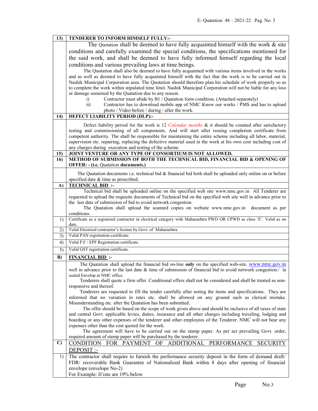| 13)          | TENDERER TO INFORM HIMSELF FULLY:-                                                                                                                                                                     |  |  |
|--------------|--------------------------------------------------------------------------------------------------------------------------------------------------------------------------------------------------------|--|--|
|              | The Quotation shall be deemed to have fully acquainted himself with the work $\&$ site                                                                                                                 |  |  |
|              | conditions and carefully examined the special conditions, the specifications mentioned for                                                                                                             |  |  |
|              | the said work, and shall be deemed to have fully informed himself regarding the local                                                                                                                  |  |  |
|              | conditions and various prevailing laws at time beings.                                                                                                                                                 |  |  |
|              | The Quotation shall also be deemed to have fully acquainted with various items involved in the works                                                                                                   |  |  |
|              | and as well as deemed to have fully acquainted himself with the fact that the work is to be carried out in                                                                                             |  |  |
|              | Nashik Municipal Corporation area. The Quotation should therefore plan his schedule of work properly so as                                                                                             |  |  |
|              | to complete the work within stipulated time limit. Nashik Municipal Corporation will not be liable for any loss                                                                                        |  |  |
|              | or damage sustained by the Quatation due to any reason.                                                                                                                                                |  |  |
|              | Contractor must abide by B1 / Quatation form condition. (Attached separately)<br>i)                                                                                                                    |  |  |
|              | $\overline{ii}$ )<br>Contractor has to download mobile app of NMC Know our works / PMS and has to upload                                                                                               |  |  |
|              | photo / Video before / during / after the work.                                                                                                                                                        |  |  |
| 14)          | DEFECT LIABILITY PERIOD (DLP):-                                                                                                                                                                        |  |  |
|              | Defect liability period for the work is 12 Calendar months & it should be counted after satisfactory                                                                                                   |  |  |
|              | testing and commissioning of all components. And will start after issuing completion certificate from                                                                                                  |  |  |
|              | competent authority. The shall be responsible for maintaining the entire scheme including all labor, material,                                                                                         |  |  |
|              | supervision etc. repairing, replacing the defective material used in the work at his own cost including cost of                                                                                        |  |  |
|              | any charges during execution and testing of the scheme.<br>JOINT VENTURE OR ANY TYPE OF CONSORTIUM IS NOT ALLOWED.                                                                                     |  |  |
| 15)<br>16)   | METHOD OF SUBMISSION OF BOTH THE TECHNICAL BID, FINANCIAL BID & OPENING OF                                                                                                                             |  |  |
|              | <b>OFFER: - (i.e. Quatation documents.)</b>                                                                                                                                                            |  |  |
|              |                                                                                                                                                                                                        |  |  |
|              | The Quatation documents i.e. technical bid $\&$ financial bid both shall be uploaded only online on or before<br>specified date & time as prescribed.                                                  |  |  |
| $\bf{A}$     | <b>TECHNICAL BID:</b>                                                                                                                                                                                  |  |  |
|              | Technical bid shall be uploaded online on the specified web site www.nmc.gov.in All Tenderer are                                                                                                       |  |  |
|              | requested to upload the requisite documents of Technical bid on the specified web site well in advance prior to                                                                                        |  |  |
|              | the last date of submission of bid to avoid network congestion.                                                                                                                                        |  |  |
|              | The Quatation shall upload the scanned copies on website www.nmc.gov.in document as per                                                                                                                |  |  |
|              | conditions.                                                                                                                                                                                            |  |  |
| 1)           | Certificate as a registered contractor in electrical category with Maharashtra PWD OR CPWD as class 'E'. Valid as on<br>date.                                                                          |  |  |
| 2)           | Valid Electrical contractor's license by Govt. of Maharashtra                                                                                                                                          |  |  |
| 3)           | Valid PAN registration certificate.                                                                                                                                                                    |  |  |
| 4)           | Valid P.F / EPF Registration certificate.                                                                                                                                                              |  |  |
| 5)           | Valid GST registration certificate.                                                                                                                                                                    |  |  |
| B)           | <b>FINANCIAL BID:</b>                                                                                                                                                                                  |  |  |
|              | The Quatation shall upload the financial bid on-line only on the specified web-site. www.nmc.gov.in                                                                                                    |  |  |
|              | well in advance prior to the last date & time of submission of financial bid to avoid network congestion./ In                                                                                          |  |  |
|              | sealed Envelop at NMC office.<br>Tenderers shall quote a firm offer. Conditional offers shall not be considered and shall be treated as non-                                                           |  |  |
|              | responsive and thereof.                                                                                                                                                                                |  |  |
|              | Tenderers are requested to fill the tender carefully after noting the items and specifications. They are                                                                                               |  |  |
|              | informed that no variation in rates etc. shall be allowed on any ground such as clerical mistake.                                                                                                      |  |  |
|              | Misunderstanding etc. after the Quatation has been submitted.                                                                                                                                          |  |  |
|              |                                                                                                                                                                                                        |  |  |
|              | The offer should be based on the scope of work given above and should be inclusive of all taxes of state                                                                                               |  |  |
|              | and central Govt. applicable levies, duties, insurance and all other charges including traveling, lodging and                                                                                          |  |  |
|              | boarding or any other expenses of the tenderer and other employees of the Tenderer. NMC will not bear any                                                                                              |  |  |
|              | expenses other than the cost quoted for the work.                                                                                                                                                      |  |  |
|              | The agreement will have to be carried out on the stamp paper. As per act prevailing Govt. order,                                                                                                       |  |  |
|              | required amount of stamp paper will be purchased by the tenderer.                                                                                                                                      |  |  |
| $\mathbf{C}$ | CONDITION FOR PAYMENT<br>ADDITIONAL PERFORMANCE<br>OF<br><b>SECURITY</b>                                                                                                                               |  |  |
|              | DEPOSIT :-                                                                                                                                                                                             |  |  |
| 1)           | The contractor shall require to furnish the performance security deposit in the form of demand draft/<br>FDR/ recoverable Bank Guarantee of Nationalized Bank within 8 days after opening of financial |  |  |
|              | envelope (envelope No-2)                                                                                                                                                                               |  |  |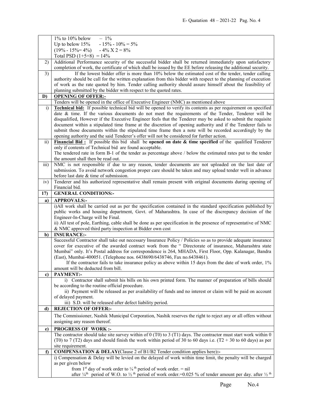|                 | $1\%$ to $10\%$ below<br>$-1\%$                                                                                                                                                                                                                                                  |
|-----------------|----------------------------------------------------------------------------------------------------------------------------------------------------------------------------------------------------------------------------------------------------------------------------------|
|                 | $-15\% - 10\% = 5\%$<br>Up to below $15%$                                                                                                                                                                                                                                        |
|                 | $(19\% - 15\% = 4\%)$ $-4\%$ $X$ 2 = 8%                                                                                                                                                                                                                                          |
|                 | Total PSD $(1+5+8) = 14\%$                                                                                                                                                                                                                                                       |
| 2)              | Additional Performance security of the successful bidder shall be returned immediately upon satisfactory                                                                                                                                                                         |
|                 | completion of work, the certificate of which shall be issued by the EE before releasing the additional security.                                                                                                                                                                 |
| 3)              | If the lowest bidder offer is more than 10% below the estimated cost of the tender, tender calling                                                                                                                                                                               |
|                 | authority should be call for the written explanation from this bidder with respect to the planning of execution                                                                                                                                                                  |
|                 | of work as the rate quoted by him. Tender calling authority should assure himself about the feasibility of                                                                                                                                                                       |
|                 | planning submitted by the bidder with respect to the quoted rates.                                                                                                                                                                                                               |
| D)              | <b>OPENING OF OFFER:-</b>                                                                                                                                                                                                                                                        |
|                 | Tenders will be opened in the office of Executive Engineer (NMC) as mentioned above                                                                                                                                                                                              |
| $\ddot{1}$      | <b>Technical bid:</b> If possible technical bid will be opened to verify its contents as per requirement on specified                                                                                                                                                            |
|                 | date & time. If the various documents do not meet the requirements of the Tender, Tenderer will be                                                                                                                                                                               |
|                 | disqualified, However if the Executive Engineer feels that the Tenderer may be asked to submit the requisite                                                                                                                                                                     |
|                 | document within a stipulated time frame at the discretion of opening authority and if the Tenderer fails to                                                                                                                                                                      |
|                 | submit those documents within the stipulated time frame then a note will be recorded accordingly by the                                                                                                                                                                          |
|                 | opening authority and the said Tenderer's offer will not be considered for further action.                                                                                                                                                                                       |
| $\overline{11}$ | Financial Bid: If possible this bid shall be opened on date $\&$ time specified of the qualified Tenderer                                                                                                                                                                        |
|                 | only if contents of Technical bid are found acceptable.                                                                                                                                                                                                                          |
|                 | The tendered rate in form B-1 of the tender as percentage above / below the estimated rates put to the tender                                                                                                                                                                    |
|                 | the amount shall then be read out.                                                                                                                                                                                                                                               |
| iii)            | NMC is not responsible if due to any reason, tender documents are not uploaded on the last date of                                                                                                                                                                               |
|                 | submission. To avoid network congestion proper care should be taken and may upload tender well in advance                                                                                                                                                                        |
|                 | before last date & time of submission.                                                                                                                                                                                                                                           |
| iv)             | Tenderer and his authorized representative shall remain present with original documents during opening of                                                                                                                                                                        |
|                 | Financial bid.                                                                                                                                                                                                                                                                   |
| 17)             | <b>GENERAL CONDITIONS:-</b>                                                                                                                                                                                                                                                      |
| a)              | <b>APPROVALS:-</b>                                                                                                                                                                                                                                                               |
|                 | i)All work shall be carried out as per the specification contained in the standard specification published by                                                                                                                                                                    |
|                 |                                                                                                                                                                                                                                                                                  |
|                 |                                                                                                                                                                                                                                                                                  |
|                 | public works and housing department, Govt. of Maharashtra. In case of the discrepancy decision of the                                                                                                                                                                            |
|                 | Engineer-In-Charge will be Final.                                                                                                                                                                                                                                                |
|                 | ii) All test of pole, Earthing, cable shall be done as per specification in the presence of representative of NMC                                                                                                                                                                |
|                 | & NMC approved third party inspection at Bidder own cost                                                                                                                                                                                                                         |
| b)              | <b>INSURANCE:-</b>                                                                                                                                                                                                                                                               |
|                 | Successful Contractor shall take out necessary Insurance Policy / Policies so as to provide adequate insurance<br>cover for executive of the awarded contract work from the " Directorate of insurance, Maharashtra state                                                        |
|                 |                                                                                                                                                                                                                                                                                  |
|                 | Mumbai" only. It's Postal address for correspondence is 264, MHADA, First Floor, Opp. Kalanagar, Bandra                                                                                                                                                                          |
|                 | (East), Mumbai-400051. (Telephone nos. 6438690/6438746, Fax no.6438461).                                                                                                                                                                                                         |
|                 | If the contractor fails to take insurance policy as above within 15 days from the date of work order, 1%<br>amount will be deducted from bill.                                                                                                                                   |
| c)              | <b>PAYMENT:-</b>                                                                                                                                                                                                                                                                 |
|                 | i) Contractor shall submit his bills on his own printed form. The manner of preparation of bills should                                                                                                                                                                          |
|                 | be according to the routine official procedure.                                                                                                                                                                                                                                  |
|                 | ii) Payment will be released as per availability of funds and no interest or claim will be paid on account                                                                                                                                                                       |
|                 | of delayed payment.                                                                                                                                                                                                                                                              |
|                 | iii) S.D. will be released after defect liability period.                                                                                                                                                                                                                        |
| d)              | <b>REJECTION OF OFFER:-</b>                                                                                                                                                                                                                                                      |
|                 | The Commissioner, Nashik Municipal Corporation, Nashik reserves the right to reject any or all offers without                                                                                                                                                                    |
|                 | assigning any reason thereof.                                                                                                                                                                                                                                                    |
|                 |                                                                                                                                                                                                                                                                                  |
| e)              | <b>PROGRESS OF WORK:-</b>                                                                                                                                                                                                                                                        |
|                 | The contractor should take site survey within of $0$ (T0) to $3$ (T1) days. The contractor must start work within $0$                                                                                                                                                            |
|                 | (T0) to 7 (T2) days and should finish the work within period of 30 to 60 days i.e. (T2 + 30 to 60 days) as per                                                                                                                                                                   |
| $\mathbf{f}$    | site requirement.                                                                                                                                                                                                                                                                |
|                 | COMPENSATION & DELAY(Clause 2 of B1/B2 Tender condition applies here):-                                                                                                                                                                                                          |
|                 | i) Compensation & Delay will be levied on the delayed of work within time limit, the penalty will be charged<br>as per given below                                                                                                                                               |
|                 | from 1 <sup>st</sup> day of work order to $\frac{1}{4}$ <sup>th</sup> period of work order. = nil<br>after $\frac{1}{4}$ <sup>th</sup> period of W.O. to $\frac{1}{2}$ <sup>th</sup> period of work order. = 0.025 % of tender amount per day. after $\frac{1}{2}$ <sup>th</sup> |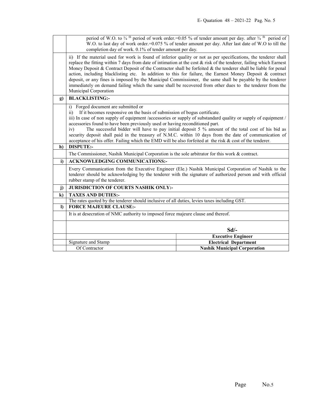|              | period of W.O. to $\frac{3}{4}$ <sup>th</sup> period of work order.=0.05 % of tender amount per day. after $\frac{3}{4}$ <sup>th</sup> period of<br>W.O. to last day of work order.=0.075 % of tender amount per day. After last date of W.O to till the                                                                                                                                                                                                                                                                                                                                                                                                                                                                   |                                                                     |  |
|--------------|----------------------------------------------------------------------------------------------------------------------------------------------------------------------------------------------------------------------------------------------------------------------------------------------------------------------------------------------------------------------------------------------------------------------------------------------------------------------------------------------------------------------------------------------------------------------------------------------------------------------------------------------------------------------------------------------------------------------------|---------------------------------------------------------------------|--|
|              | completion day of work. 0.1% of tender amount per day.                                                                                                                                                                                                                                                                                                                                                                                                                                                                                                                                                                                                                                                                     |                                                                     |  |
|              | ii) If the material used for work is found of inferior quality or not as per specifications, the tenderer shall<br>replace the fitting within 7 days from date of intimation at the cost $\&$ risk of the tenderer, failing which Earnest<br>Money Deposit & Contract Deposit of the Contractor shall be forfeited & the tenderer shall be liable for penal<br>action, including blacklisting etc. In addition to this for failure, the Earnest Money Deposit & contract<br>deposit, or any fines is imposed by the Municipal Commissioner, the same shall be payable by the tenderer<br>immediately on demand failing which the same shall be recovered from other dues to the tenderer from the<br>Municipal Corporation |                                                                     |  |
| g)           | <b>BLACKLISTING:-</b>                                                                                                                                                                                                                                                                                                                                                                                                                                                                                                                                                                                                                                                                                                      |                                                                     |  |
| h)           | Forged document are submitted or<br>i)<br>If it becomes responsive on the basis of submission of bogus certificate.<br>$\overline{11}$<br>iii) In case of non supply of equipment /accessories or supply of substandard quality or supply of equipment /<br>accessories found to have been previously used or having reconditioned part.<br>The successful bidder will have to pay initial deposit 5 % amount of the total cost of his bid as<br>iv)<br>security deposit shall paid in the treasury of N.M.C. within 10 days from the date of communication of<br>acceptance of his offer. Failing which the EMD will be also forfeited at the risk & cost of the tenderer.<br><b>DISPUTE:-</b>                            |                                                                     |  |
|              | The Commissioner, Nashik Municipal Corporation is the sole arbitrator for this work & contract.                                                                                                                                                                                                                                                                                                                                                                                                                                                                                                                                                                                                                            |                                                                     |  |
| i)           | <b>ACKNOWLEDGING COMMUNICATIONS:-</b>                                                                                                                                                                                                                                                                                                                                                                                                                                                                                                                                                                                                                                                                                      |                                                                     |  |
|              | Every Communication from the Executive Engineer (Ele.) Nashik Municipal Corporation of Nashik to the<br>tenderer should be acknowledging by the tenderer with the signature of authorized person and with official<br>rubber stamp of the tenderer.                                                                                                                                                                                                                                                                                                                                                                                                                                                                        |                                                                     |  |
| $\mathbf{j}$ | <b>JURISDICTION OF COURTS NASHIK ONLY:-</b>                                                                                                                                                                                                                                                                                                                                                                                                                                                                                                                                                                                                                                                                                |                                                                     |  |
| $\bf k$      | <b>TAXES AND DUTIES:-</b>                                                                                                                                                                                                                                                                                                                                                                                                                                                                                                                                                                                                                                                                                                  |                                                                     |  |
|              | The rates quoted by the tenderer should inclusive of all duties, levies taxes including GST.                                                                                                                                                                                                                                                                                                                                                                                                                                                                                                                                                                                                                               |                                                                     |  |
| $\bf{D}$     | <b>FORCE MAJEURE CLAUSE:-</b>                                                                                                                                                                                                                                                                                                                                                                                                                                                                                                                                                                                                                                                                                              |                                                                     |  |
|              | It is at desecration of NMC authority to imposed force majeure clause and thereof.                                                                                                                                                                                                                                                                                                                                                                                                                                                                                                                                                                                                                                         |                                                                     |  |
|              | Sd                                                                                                                                                                                                                                                                                                                                                                                                                                                                                                                                                                                                                                                                                                                         |                                                                     |  |
|              |                                                                                                                                                                                                                                                                                                                                                                                                                                                                                                                                                                                                                                                                                                                            | <b>Executive Engineer</b>                                           |  |
|              | Signature and Stamp<br>Of Contractor                                                                                                                                                                                                                                                                                                                                                                                                                                                                                                                                                                                                                                                                                       | <b>Electrical Department</b><br><b>Nashik Municipal Corporation</b> |  |
|              |                                                                                                                                                                                                                                                                                                                                                                                                                                                                                                                                                                                                                                                                                                                            |                                                                     |  |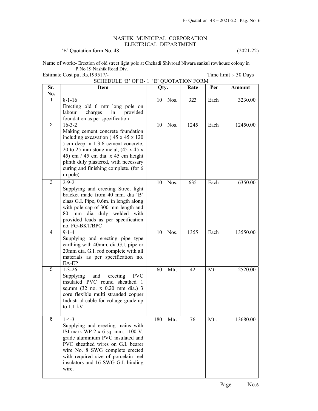## NASHIK MUNICIPAL CORPORATION ELECTRICAL DEPARTMENT

'E' Quotation form No. 48 (2021-22)

Name of work:- Erection of old street light pole at Chehadi Shivroad Niwara sankul rowhouse colony in P.No.19 Nashik Road Div.

Estimate Cost put Rs.199517/-<br>
Time limit :- 30 Days

| Sr.            | Item                                                                                                                                                                                                                                                                                                                                 | Qty.        | Announcement<br>Rate | Per  | Amount   |
|----------------|--------------------------------------------------------------------------------------------------------------------------------------------------------------------------------------------------------------------------------------------------------------------------------------------------------------------------------------|-------------|----------------------|------|----------|
| No.            |                                                                                                                                                                                                                                                                                                                                      |             |                      |      |          |
| $\mathbf{1}$   | $8-1-16$<br>Erecting old 6 mtr long pole on<br>charges<br>labour<br>in<br>provided<br>foundation as per specification                                                                                                                                                                                                                | Nos.<br>10  | 323                  | Each | 3230.00  |
| $\overline{2}$ | $16 - 3 - 2$<br>Making cement concrete foundation<br>including excavation $(45 \times 45 \times 120)$<br>) cm deep in 1:3:6 cement concrete,<br>20 to 25 mm stone metal, $(45 \times 45 \times$<br>45) cm $/$ 45 cm dia. x 45 cm height<br>plinth duly plastered, with necessary<br>curing and finishing complete. (for 6<br>m pole) | Nos.<br>10  | 1245                 | Each | 12450.00 |
| 3              | $2 - 9 - 2$<br>Supplying and erecting Street light<br>bracket made from 40 mm. dia 'B'<br>class G.I. Pipe, 0.6m. in length along<br>with pole cap of 300 mm length and<br>80 mm dia duly welded with<br>provided leads as per specification<br>no. FG-BKT/BPC                                                                        | Nos.<br>10  | 635                  | Each | 6350.00  |
| 4              | $9 - 1 - 4$<br>Supplying and erecting pipe type<br>earthing with 40mm. dia.G.I. pipe or<br>20mm dia. G.I. rod complete with all<br>materials as per specification no.<br>EA-EP                                                                                                                                                       | Nos.<br>10  | 1355                 | Each | 13550.00 |
| 5              | $1 - 3 - 26$<br>Supplying<br><b>PVC</b><br>and<br>erecting<br>insulated PVC round sheathed 1<br>sq.mm (32 no. x 0.20 mm dia.) 3<br>core flexible multi stranded copper<br>Industrial cable for voltage grade up<br>to $1.1 \text{ kV}$                                                                                               | 60<br>Mtr.  | 42                   | Mtr  | 2520.00  |
| 6              | $1-4-3$<br>Supplying and erecting mains with<br>ISI mark WP 2 x 6 sq. mm. 1100 V.<br>grade aluminium PVC insulated and<br>PVC sheathed wires on G.I. bearer<br>wire No. 8 SWG complete erected<br>with required size of porcelain reel<br>insulators and 16 SWG G.I. binding<br>wire.                                                | 180<br>Mtr. | 76                   | Mtr. | 13680.00 |

SCHEDULE 'B' OF B- 1 'E' QUOTATION FORM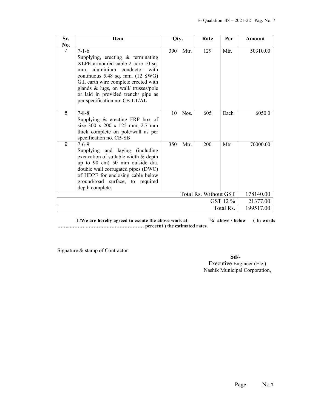| Sr.            | <b>Item</b>                                                                                                                                                                                                                                                                                                                           | Qty.        | Rate                  | Per       | <b>Amount</b> |
|----------------|---------------------------------------------------------------------------------------------------------------------------------------------------------------------------------------------------------------------------------------------------------------------------------------------------------------------------------------|-------------|-----------------------|-----------|---------------|
| No.            |                                                                                                                                                                                                                                                                                                                                       |             |                       |           |               |
| $\overline{7}$ | $7 - 1 - 6$<br>Supplying, erecting $\&$ terminating<br>XLPE armoured cable 2 core 10 sq.<br>aluminium conductor with<br>mm.<br>continuous $5.48$ sq. mm. $(12 \text{ SWG})$<br>G.I. earth wire complete erected with<br>glands & lugs, on wall/ trusses/pole<br>or laid in provided trench/ pipe as<br>per specification no. CB-LT/AL | 390<br>Mtr. | 129                   | Mtr.      | 50310.00      |
| 8              | $7 - 8 - 8$<br>Supplying $\&$ erecting FRP box of<br>size 300 x 200 x 125 mm, 2.7 mm<br>thick complete on pole/wall as per<br>specification no. CB-SB                                                                                                                                                                                 | 10<br>Nos.  | 605                   | Each      | 6050.0        |
| 9              | $7 - 6 - 9$<br>Supplying and laying (including<br>excavation of suitable width & depth<br>up to 90 cm) 50 mm outside dia.<br>double wall corrugated pipes (DWC)<br>of HDPE for enclosing cable below<br>ground/road surface, to required<br>depth complete.                                                                           | 350<br>Mtr. | 200                   | Mtr       | 70000.00      |
|                |                                                                                                                                                                                                                                                                                                                                       |             | Total Rs. Without GST |           | 178140.00     |
|                |                                                                                                                                                                                                                                                                                                                                       |             |                       | GST 12 %  | 21377.00      |
|                |                                                                                                                                                                                                                                                                                                                                       |             |                       | Total Rs. | 199517.00     |

I /We are hereby agreed to exeute the above work at  $\%$  above / below (In words) ……..……… ……………………………… perecent ) the estimated rates.

Signature & stamp of Contractor

Sd/- Executive Engineer (Ele.) Nashik Municipal Corporation,